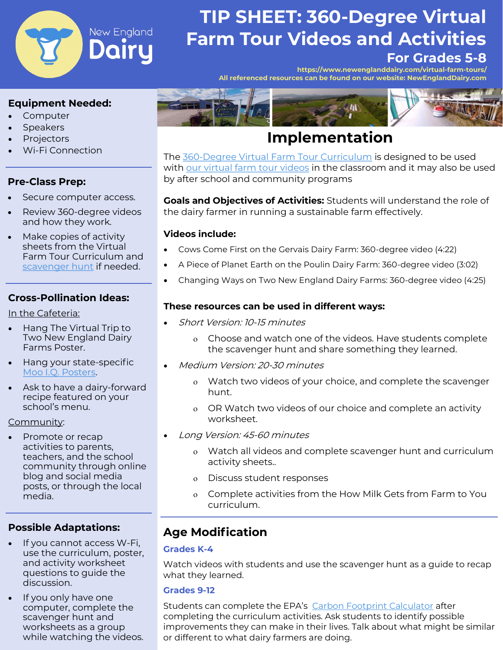

# **TIP SHEET: 360-Degree Virtual Farm Tour Videos and Activities**

# **For Grades 5-8**

**[https://www.newenglanddairy.com/virtual](https://www.newenglanddairy.com/virtual-farm-tours/)-farm-tours/ All referenced resources can be found on our website: NewEnglandDairy.com** 

#### **Equipment Needed:**

- **Computer**
- **Speakers**
- **Projectors**
- Wi-Fi Connection

### **Pre-Class Prep:**

- Secure computer access.
- Review 360-degree videos and how they work.
- Make copies of activity sheets from the Virtual Farm Tour Curriculum and [scavenger hunt](http://www.newenglanddairy.com/wp-content/uploads/Farm-Tour-Scavenger-Hunt-FINAL.pdf) if needed.

### **Cross-Pollination Ideas:**

In the Cafeteria:

- Hang The Virtual Trip to Two New England Dairy Farms Poster.
- Hang your state-specific [Moo I.Q. Posters.](https://www.newenglanddairy.com/farm-to-school-marketing-resources/)
- Ask to have a dairy-forward recipe featured on your school's menu.

#### Community:

• Promote or recap activities to parents, teachers, and the school community through online blog and social media posts, or through the local media.

### **Possible Adaptations:**

- If you cannot access W-Fi, use the curriculum, poster, and activity worksheet questions to guide the discussion.
- If you only have one computer, complete the scavenger hunt and worksheets as a group while watching the videos.



# **Implementation**

The 360-[Degree Virtual Farm Tour Curriculum](http://x70qf2omd3j1myjzz16p9h6m-wpengine.netdna-ssl.com/wp-content/uploads/Cow-to-You-Virtual-Visit-to-Two-New-England-Dairy-Farms.pdf) is designed to be used with [our virtual farm tour videos](https://www.newenglanddairy.com/virtual-farm-tours/) in the classroom and it may also be used by after school and community programs

**Goals and Objectives of Activities:** Students will understand the role of the dairy farmer in running a sustainable farm effectively.

#### **Videos include:**

- Cows Come First on the Gervais Dairy Farm: 360-degree video (4:22)
- A Piece of Planet Earth on the Poulin Dairy Farm: 360-degree video (3:02)
- Changing Ways on Two New England Dairy Farms: 360-degree video (4:25)

#### **These resources can be used in different ways:**

- Short Version: 10-15 minutes
	- Choose and watch one of the videos. Have students complete the scavenger hunt and share something they learned.
- Medium Version: 20-30 minutes
	- Watch two videos of your choice, and complete the scavenger hunt.
	- OR Watch two videos of our choice and complete an activity worksheet.
- Long Version: 45-60 minutes
	- Watch all videos and complete scavenger hunt and curriculum activity sheets..
	- Discuss student responses
	- Complete activities from the How Milk Gets from Farm to You curriculum.

# **Age Modification**

#### **Grades K-4**

Watch videos with students and use the scavenger hunt as a guide to recap what they learned.

#### **Grades 9-12**

Students can complete the EPA's [Carbon Footprint Calculator](https://www3.epa.gov/carbon-footprint-calculator/) after completing the curriculum activities. Ask students to identify possible improvements they can make in their lives. Talk about what might be similar or different to what dairy farmers are doing.